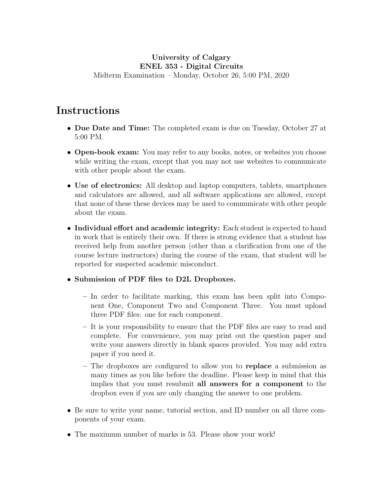# University of Calgary ENEL 353 - Digital Circuits

Midterm Examination – Monday, October 26, 5:00 PM, 2020

# Instructions

- Due Date and Time: The completed exam is due on Tuesday, October 27 at 5:00 PM.
- Open-book exam: You may refer to any books, notes, or websites you choose while writing the exam, except that you may not use websites to communicate with other people about the exam.
- Use of electronics: All desktop and laptop computers, tablets, smartphones and calculators are allowed, and all software applications are allowed, except that none of these these devices may be used to communicate with other people about the exam.
- Individual effort and academic integrity: Each student is expected to hand in work that is entirely their own. If there is strong evidence that a student has received help from another person (other than a clarification from one of the course lecture instructors) during the course of the exam, that student will be reported for suspected academic misconduct.

## • Submission of PDF files to D2L Dropboxes.

- In order to facilitate marking, this exam has been split into Component One, Component Two and Component Three. You must upload three PDF files: one for each component.
- It is your responsibility to ensure that the PDF files are easy to read and complete. For convenience, you may print out the question paper and write your answers directly in blank spaces provided. You may add extra paper if you need it.
- The dropboxes are configured to allow you to replace a submission as many times as you like before the deadline. Please keep in mind that this implies that you must resubmit all answers for a component to the dropbox even if you are only changing the answer to one problem.
- Be sure to write your name, tutorial section, and ID number on all three components of your exam.
- The maximum number of marks is 53. Please show your work!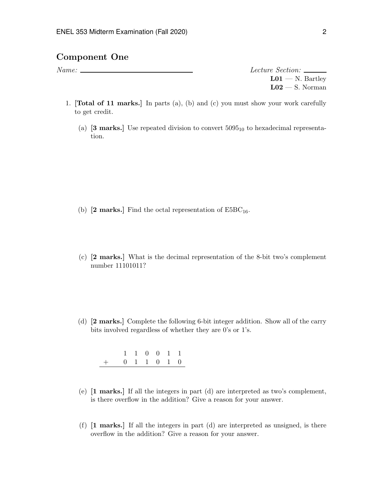### Component One

Name: Lecture Section:

 $L01 - N$ . Bartley  $L02 - S$ . Norman

- 1. [Total of 11 marks.] In parts (a), (b) and (c) you must show your work carefully to get credit.
	- (a)  $\left[3 \text{ marks.}\right]$  Use repeated division to convert  $5095_{10}$  to hexadecimal representation.

- (b)  $[2 \text{ marks.}]$  Find the octal representation of  $E5BC_{16}$ .
- (c) [2 marks.] What is the decimal representation of the 8-bit two's complement number 11101011?
- (d) [2 marks.] Complete the following 6-bit integer addition. Show all of the carry bits involved regardless of whether they are 0's or 1's.

|                                                |  | 1 1 0 0 1 1 |  |  |
|------------------------------------------------|--|-------------|--|--|
| $+\qquad 0\quad 1\quad 1\quad 0\quad 1\quad 0$ |  |             |  |  |

- (e) [1 marks.] If all the integers in part (d) are interpreted as two's complement, is there overflow in the addition? Give a reason for your answer.
- (f)  $\begin{bmatrix} 1 \text{ marks.} \end{bmatrix}$  If all the integers in part (d) are interpreted as unsigned, is there overflow in the addition? Give a reason for your answer.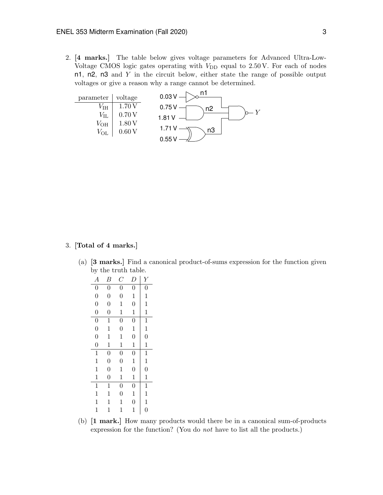2. [4 marks.] The table below gives voltage parameters for Advanced Ultra-Low-Voltage CMOS logic gates operating with  $V_{\text{DD}}$  equal to 2.50 V. For each of nodes n1, n2, n3 and  $Y$  in the circuit below, either state the range of possible output voltages or give a reason why a range cannot be determined.



#### 3. [Total of 4 marks.]

(a) [3 marks.] Find a canonical product-of-sums expression for the function given by the truth table.

| ັ                |                |                  |                |                           |
|------------------|----------------|------------------|----------------|---------------------------|
| $\boldsymbol{A}$ | Β              | $\overline{C}$   | D              | $\boldsymbol{\mathit{Y}}$ |
| $\boldsymbol{0}$ | $\overline{0}$ | $\overline{0}$   | $\overline{0}$ | $\overline{0}$            |
| $\overline{0}$   | $\overline{0}$ | $\overline{0}$   | $\mathbf{1}$   | $\mathbf{1}$              |
| $\overline{0}$   | $\overline{0}$ | $\mathbf 1$      | $\overline{0}$ | $\mathbf{1}$              |
| $\overline{0}$   | $\overline{0}$ | $\mathbf 1$      | $\mathbf 1$    | $\mathbf{1}$              |
| $\overline{0}$   | $\mathbf{1}$   | $\boldsymbol{0}$ | $\overline{0}$ | $\mathbf{1}$              |
| $\overline{0}$   | $\mathbf{1}$   | $\overline{0}$   | $\mathbf{1}$   | $\mathbf{1}$              |
| $\overline{0}$   | $\mathbf{1}$   | $\mathbf{1}$     | $\overline{0}$ | $\overline{0}$            |
| $\overline{0}$   | $\mathbf{1}$   | $\mathbf 1$      | $\mathbf 1$    | $\mathbf 1$               |
| $\overline{1}$   | $\overline{0}$ | $\overline{0}$   | $\overline{0}$ | $\overline{1}$            |
| $\mathbf{1}$     | $\overline{0}$ | $\overline{0}$   | $\mathbf 1$    | $\mathbf{1}$              |
| $\mathbf{1}$     | $\overline{0}$ | $\mathbf 1$      | $\overline{0}$ | $\overline{0}$            |
| $\mathbf{1}$     | $\overline{0}$ | $\mathbf 1$      | $\mathbf 1$    | $\mathbf 1$               |
| $\mathbf{1}$     | $\mathbf{1}$   | $\overline{0}$   | $\overline{0}$ | $\mathbf{1}$              |
| $\mathbf{1}$     | $\mathbf{1}$   | $\overline{0}$   | $\mathbf{1}$   | $\mathbf{1}$              |
| $\mathbf{1}$     | 1              | $\mathbf 1$      | $\overline{0}$ | $\mathbf{1}$              |
| $\mathbf{1}$     | $\mathbf{1}$   | $\mathbf{1}$     | $\mathbf 1$    | $\overline{0}$            |
|                  |                |                  |                |                           |

(b) [1 mark.] How many products would there be in a canonical sum-of-products expression for the function? (You do not have to list all the products.)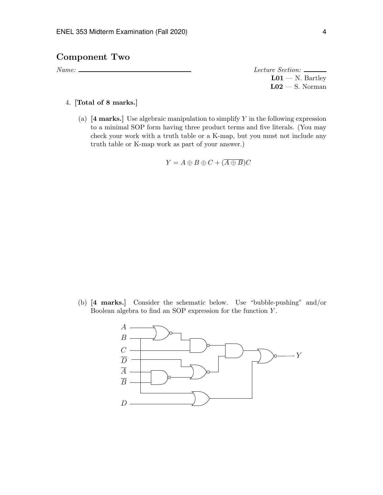## Component Two

Name: Lecture Section:  $L01 - N$ . Bartley  $L02 - S$ . Norman

### 4. [Total of 8 marks.]

(a)  $[4 \text{ marks.}]$  Use algebraic manipulation to simplify Y in the following expression to a minimal SOP form having three product terms and five literals. (You may check your work with a truth table or a K-map, but you must not include any truth table or K-map work as part of your answer.)

$$
Y = A \oplus B \oplus C + (\overline{A \oplus B})C
$$

(b) [4 marks.] Consider the schematic below. Use "bubble-pushing" and/or Boolean algebra to find an SOP expression for the function Y .

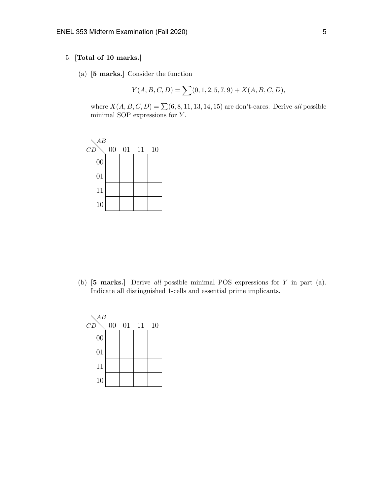#### 5. [Total of 10 marks.]

(a) [5 marks.] Consider the function

$$
Y(A, B, C, D) = \sum (0, 1, 2, 5, 7, 9) + X(A, B, C, D),
$$

where  $X(A, B, C, D) = \sum (6, 8, 11, 13, 14, 15)$  are don't-cares. Derive all possible minimal SOP expressions for Y .



(b) [5 marks.] Derive all possible minimal POS expressions for Y in part (a). Indicate all distinguished 1-cells and essential prime implicants.

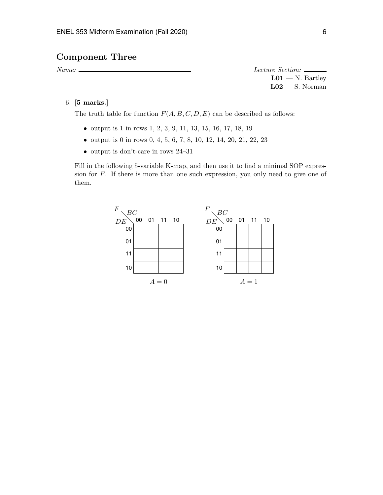## Component Three

Name: Lecture Section:  $L01 - N$ . Bartley  $L02 - S$ . Norman

6. [5 marks.]

The truth table for function  $F(A, B, C, D, E)$  can be described as follows:

- output is 1 in rows 1, 2, 3, 9, 11, 13, 15, 16, 17, 18, 19
- output is 0 in rows 0, 4, 5, 6, 7, 8, 10, 12, 14, 20, 21, 22, 23
- output is don't-care in rows 24–31

Fill in the following 5-variable K-map, and then use it to find a minimal SOP expression for F. If there is more than one such expression, you only need to give one of them.

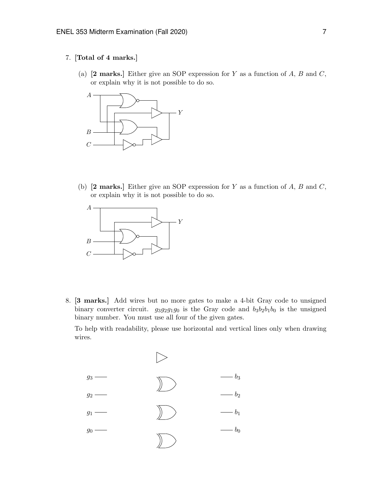#### 7. [Total of 4 marks.]

(a)  $[2 \text{ marks.}]$  Either give an SOP expression for Y as a function of A, B and C, or explain why it is not possible to do so.



(b)  $[2 \text{ marks.}]$  Either give an SOP expression for Y as a function of A, B and C, or explain why it is not possible to do so.



8. [3 marks.] Add wires but no more gates to make a 4-bit Gray code to unsigned binary converter circuit.  $g_3g_2g_1g_0$  is the Gray code and  $b_3b_2b_1b_0$  is the unsigned binary number. You must use all four of the given gates.

To help with readability, please use horizontal and vertical lines only when drawing wires.